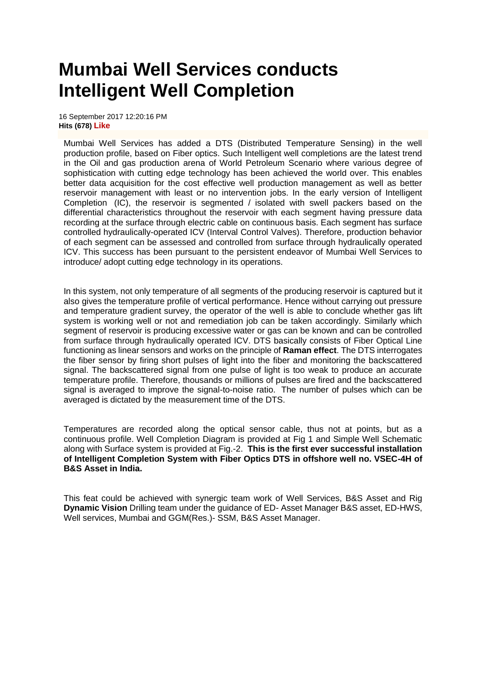## **Mumbai Well Services conducts Intelligent Well Completion**

16 September 2017 12:20:16 PM **Hits (678) Like**

Mumbai Well Services has added a DTS (Distributed Temperature Sensing) in the well production profile, based on Fiber optics. Such Intelligent well completions are the latest trend in the Oil and gas production arena of World Petroleum Scenario where various degree of sophistication with cutting edge technology has been achieved the world over. This enables better data acquisition for the cost effective well production management as well as better reservoir management with least or no intervention jobs. In the early version of Intelligent Completion (IC), the reservoir is segmented / isolated with swell packers based on the differential characteristics throughout the reservoir with each segment having pressure data recording at the surface through electric cable on continuous basis. Each segment has surface controlled hydraulically-operated ICV (Interval Control Valves). Therefore, production behavior of each segment can be assessed and controlled from surface through hydraulically operated ICV. This success has been pursuant to the persistent endeavor of Mumbai Well Services to introduce/ adopt cutting edge technology in its operations.

In this system, not only temperature of all segments of the producing reservoir is captured but it also gives the temperature profile of vertical performance. Hence without carrying out pressure and temperature gradient survey, the operator of the well is able to conclude whether gas lift system is working well or not and remediation job can be taken accordingly. Similarly which segment of reservoir is producing excessive water or gas can be known and can be controlled from surface through hydraulically operated ICV. DTS basically consists of Fiber Optical Line functioning as linear sensors and works on the principle of **Raman effect**. The DTS interrogates the fiber sensor by firing short pulses of light into the fiber and monitoring the backscattered signal. The backscattered signal from one pulse of light is too weak to produce an accurate temperature profile. Therefore, thousands or millions of pulses are fired and the backscattered signal is averaged to improve the signal-to-noise ratio. The number of pulses which can be averaged is dictated by the measurement time of the DTS.

Temperatures are recorded along the optical sensor cable, thus not at points, but as a continuous profile. Well Completion Diagram is provided at Fig 1 and Simple Well Schematic along with Surface system is provided at Fig.-2. **This is the first ever successful installation of Intelligent Completion System with Fiber Optics DTS in offshore well no. VSEC-4H of B&S Asset in India.**

This feat could be achieved with synergic team work of Well Services, B&S Asset and Rig **Dynamic Vision** Drilling team under the guidance of ED- Asset Manager B&S asset, ED-HWS, Well services, Mumbai and GGM(Res.)- SSM, B&S Asset Manager.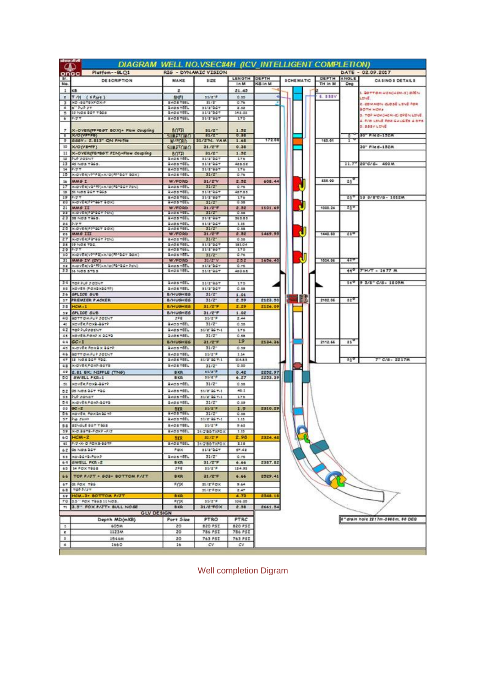| $\omega$                     | Shift with<br>DIAGRAM WELL NO.VSEC#4H (ICV_INTELLIGENT COMPLETION) |                                     |                                     |                    |                    |  |                  |         |              |                                              |
|------------------------------|--------------------------------------------------------------------|-------------------------------------|-------------------------------------|--------------------|--------------------|--|------------------|---------|--------------|----------------------------------------------|
|                              | Platfom--BLQ1<br>onacl                                             |                                     | RIG - DYNAMIC VISION                |                    |                    |  |                  |         |              | DATE - 02.09.2017                            |
| ar.                          | DE SCRIPTION                                                       | <b>MAKE</b>                         | 81ZE                                | <b>LENGTH</b>      | DEPTH              |  | <b>SCHEMATIC</b> | DEPTH   | ANGLE        | <b>CA SINO &amp; DETAILS</b>                 |
| No.                          |                                                                    |                                     |                                     | In M               | KB In M            |  |                  | TH In M | Deg          |                                              |
| $\mathbf{1}$<br>$\mathbf{r}$ | КB<br>$TM$ ( <i>iPart</i> )                                        | z<br>SHFI                           | $51/2^{+9}$                         | 21.45<br>0.35      |                    |  |                  | 6.888V  |              | L ФОТТОМ НЕМ(НЕМ-5) ОЙЕН                     |
| 3                            | XD -96T9XPOX-3                                                     | <b>GAOSTEEL</b>                     | 31/2                                | 0.76               |                    |  |                  |         |              | LENE<br>2. COMMON CLOSE LINE FOR             |
| ٠                            | <b>8" PUP 2T</b><br>15 NOS 967 7965                                | BADSTEEL<br>GAOS TEEL               | 31/2"067<br>10/2"367                | 2.52<br>\$43.53    |                    |  |                  |         |              | <b>SOTH HOME</b>                             |
| $\bullet$                    | 2/3.7                                                              | GAOSTEEL                            | 31/2"967                            | 1.75               |                    |  |                  |         |              | 3. TOP MON(MCM-2) OPEN LINE                  |
|                              |                                                                    |                                     |                                     |                    |                    |  |                  |         |              | 4. F/O LENE FOR GAUGES & DYS<br>D. SSSV LINE |
| У.<br>τ                      | X-OVER(FP=86T BOX)+ Flow Coupling<br>X/O (VF-FB)                   | <b>BOTH</b>                         | $31/2^-$<br>31/2"                   | 1.52<br>0.38       |                    |  |                  |         |              | 30" File d - 152M                            |
|                              | 9 555V - 2.813" QN Profile                                         | <b>SII DELOVIA</b><br>W/FORD        | 31/2"N. VAM                         | 1.68               | 172.06             |  |                  | 160.01  | r            |                                              |
| 10                           | X/O (V B=FP)                                                       | <b>SUMATOMO</b>                     | 31/2 F                              | 0.38               |                    |  |                  |         |              | 30" Piled-132M                               |
|                              | 11 X-OVER(F8=86T FIN)+Flow Coupling                                | <b>BOTA</b>                         | $31/2 -$                            | 1.52               |                    |  |                  |         |              |                                              |
| 12<br>11                     | <b>PLO JOINT</b><br>45 NOS 7965.                                   | <b>GADSTEEL</b><br><b>QADS TEEL</b> | 31/2"067<br>11/2"061                | 176<br>42552       |                    |  |                  |         |              | $11.7''$ 20°C/6- 400 M                       |
| 14                           | 2/37                                                               | <b>QADS TEEL</b>                    | 31/2"067                            | 1.TO               |                    |  |                  |         |              |                                              |
| $15^{\circ}$                 | X-DVER(VP*P2)+X/D(PP*3GT \$DX)                                     | <b>GADSTEEL</b>                     | $31/2$ <sup>-1</sup>                | Q, T6              |                    |  |                  |         |              |                                              |
| 16<br>и                      | MM6 I<br>X-DVER(V2*RF)=X/D(P2*3GT FIN)                             | W/FORD<br><b>GAOSTEEL</b>           | 31/2V<br>31/2                       | 2.32<br>0.76       | 608.44             |  |                  | 655.90  | $20^{\circ}$ |                                              |
|                              | 18 SI NOS 96T TOGS                                                 | <b>QADS TEEL</b>                    | 15/21067                            | 467.55             |                    |  |                  |         |              |                                              |
|                              | 29 2/27<br><b>20 X-DVERFPFBST BOX)</b>                             | <b>GADSTEEL</b><br><b>BADSTEEL</b>  | 31/2"067                            | 176<br>0.35        |                    |  |                  |         | 200          | 13 3/8 C/6- 1012M                            |
|                              | 21 MMS II                                                          | W/FORD                              | 31/2<br>31/27                       | 2.52               | 1101.69            |  |                  | 1000.24 | 259          |                                              |
| 22.7                         | <b>X-OVER(FINDSY PEN)</b>                                          | <b>BADS YEEL</b>                    | 31/2                                | 0.55               |                    |  |                  |         |              |                                              |
| 23                           | 38 NOS TWS.<br>24 2/27                                             | <b>GADSTEEL</b><br><b>QAOSTEEL</b>  | 31/2"007<br>11/2"067                | 361.83<br>1.55     |                    |  |                  |         |              |                                              |
| 25.                          | X-DVER(F2*3GT BOX)                                                 | <b>QADS YEEL</b>                    | $33/2$ <sup>*</sup>                 | 0.58               |                    |  |                  |         |              |                                              |
| 26<br>27                     | <b>MMGIII</b><br>X-DVER(PS12GT PIN)                                | W/FORD<br><b>QADSTEEL</b>           | 31/2F<br>$31/2$ <sup>*</sup>        | 2.02<br>0.35       | 1469.90            |  |                  | 1448.60 | 210          |                                              |
|                              | 25 19 NOS TOG.                                                     | <b>GAOSTEEL</b>                     | 51/2"067                            | 151.04             |                    |  |                  |         |              |                                              |
|                              | 29 777                                                             | <b>GADS TEEL</b>                    | 31/2"001                            | IYS                |                    |  |                  |         |              |                                              |
|                              | 30 X-DVER(VP*PE)=X/D(FP*BST BOX)<br>31 MM6 IV (CV)                 | <b>BADSTEEL</b><br>W/FORD           | $31/2$ <sup>*</sup><br>31/27V       | 0.76<br>2.52       | 1636.40            |  |                  | 1004.96 | 429          |                                              |
| 32                           | X-OVER(VB*RF)-X/O(FB*BGT FIN)                                      | <b>GAOSTEEL</b>                     | 31/2"067                            | 0.76               |                    |  |                  |         |              |                                              |
|                              | 33 to NOS STOS                                                     | <b>GADSTEEL</b>                     | 31/2"047                            | 460.65             |                    |  |                  |         | 440          | $TH/T = 1677$ M                              |
|                              | 34 TOPPLP FOENT                                                    | <b>GADSTEEL</b>                     | 31/2"067                            | 175                |                    |  |                  |         | 560          | 9 5/8" C/S- 1809M                            |
| 35.1                         | ΧΟΥΕR (FOXBXBCTP)                                                  | QAOS TEEL                           | 31/2"067                            | 0.55               |                    |  |                  |         |              |                                              |
| 36.                          | SPLICE SUB                                                         | <b>B/HUGHES</b>                     | $31/2$ <sup>*</sup>                 | 1.01               |                    |  | - 6              |         |              |                                              |
| 35                           | <b>ST PREMIER PACKER</b><br><b>HOM -1</b>                          | <b>B/HUGHES</b><br><b>B/HUGHES</b>  | $31/2^{-1}$<br>31/27                | 2.39<br>2.29       | 2123.50<br>2126.09 |  |                  | 2102.06 | $11^{0}$     |                                              |
| 39                           | SPLICE SUB                                                         | <b>B/HUGHES</b>                     | 31/2 F                              | 1.02               |                    |  |                  |         |              |                                              |
| 40                           | BOTTOMPUP JOENT                                                    | <b>2PE</b>                          | 31/277                              | 2.44               |                    |  |                  |         |              |                                              |
| 48                           | XOVER FOX3-36TP                                                    | <b>GAOSTEEL</b>                     | $32/2$ <sup>-1</sup>                | 0.58               |                    |  |                  |         |              |                                              |
| 42<br>45                     | TOP PUP JOINT<br>XOVER-POXP X 24T2                                 | <b>GADSTEEL</b><br><b>QADS YEEL</b> | 31/2" 00 T-1<br>$31/2$ <sup>*</sup> | 1.78<br>0.58       |                    |  |                  |         |              |                                              |
| 44                           | $6C - 1$                                                           | <b>B/HUGHES</b>                     | $31/2 - F$                          | 19                 | 2134.36            |  |                  | 2112.66 | $15^{\circ}$ |                                              |
| 45                           | X-OVER FOXOX BOT?                                                  | <b>GAOSTÉEL</b>                     | $31/2^{-}$                          | 0.59               |                    |  |                  |         |              |                                              |
| 46<br>47                     | SOTTOMPUP JOENT<br>12 NOS 96T 796.                                 | <b>QADSTEEL</b><br><b>BADS YEEL</b> | \$1/279<br>51/2" 06 Y-1             | 1.54<br>114.52     |                    |  |                  |         | 20a          | $7 - C/6 - 2217M$                            |
| 41                           | K-DVER FOXP-BSTB                                                   | <b>GAOSTEEL</b>                     | $31/2$ <sup>*</sup>                 | Q.35               |                    |  |                  |         |              |                                              |
| 49                           | 2.81 BX; NIFFLE (TN6)                                              | <b>BKR</b>                          | $31/2^{+1}$                         | 0.42               | 2252.97            |  |                  |         |              |                                              |
| 50                           | SWELL PKR-1                                                        | <b>BKR</b>                          | 31/27                               | 6.27               | 2253.39            |  |                  |         |              |                                              |
| 51                           | <b>XOVER FOXA-BGTP</b>                                             | <b>QAOSTEEL</b>                     | $31/2$ <sup>-1</sup>                | 0.55               |                    |  |                  |         |              |                                              |
| 52<br>93.                    | 05 NOS 96T T96<br>PUP ZONET                                        | QADS TEEL<br><b>GADSTEEL</b>        | 31/2" 00 T-1<br>31/2" 06 T-1        | 48.1<br>176        |                    |  |                  |         |              |                                              |
| 54.                          | X-OVERFOXP-35T3                                                    | <b>GAOSTEEL</b>                     | $31/2$ <sup>*</sup>                 | 0.59               |                    |  |                  |         |              |                                              |
| 55                           | $60 - 2$                                                           | MOR                                 | 51/277                              | 1.9                | 2310.29            |  |                  |         |              |                                              |
| 56<br>57.                    | XOVER POX 8X 86 TP<br>Pup Zaint                                    | SADS TEEL<br><b>QAOS TEEL</b>       | 31/2<br>53/2" 06 F-1                | 0.38<br>1.15       |                    |  |                  |         |              |                                              |
|                              | 58 SENGLE BOT TOOS                                                 | <b>GAOSTEEL</b>                     | 31/277                              | 7.65               |                    |  |                  |         |              |                                              |
|                              | 59 X-D BGTB-FOX7-P/2                                               | <b>QADSTEEL</b>                     | 31/2'80 TXFOX                       | 1.15               |                    |  |                  |         |              |                                              |
|                              | 60 HCM-2                                                           | <b>BER</b>                          | 3172°F.                             | 2.98               | 2324.40            |  |                  |         |              |                                              |
|                              | 61 P/3-X-D ROX-3-36TP<br>62 06 NOS 86T                             | <b>GADS YEEL</b><br>P.OX            | 31/2"80 TXPOX<br>15/2"967           | 2.16<br>57.42      |                    |  |                  |         |              |                                              |
|                              | 63 XD-94T9-FOXP                                                    | <b>GAOSTEEL</b>                     | $31/2^+$                            | 0.76               |                    |  |                  |         |              |                                              |
|                              | 64 SWELL FKR-2                                                     | BICR.                               | $31/2$ $F$                          | 6.66               | 2387.82            |  |                  |         |              |                                              |
| 65                           | 14 FOX TOLS                                                        | <b>JPE</b>                          | $51/2^{+1}$                         | 134.93             |                    |  |                  |         |              |                                              |
| 66                           | TOP P/JT + 603+ BOTTOM P/JT                                        | <b>BKR</b>                          | 31/2 F                              | 6.66               | 2529.41            |  |                  |         |              |                                              |
| 67                           | OI FOX TOG                                                         | <b>FOX</b>                          | $31/T$ POK                          | 7.64               |                    |  |                  |         |              |                                              |
| 62                           | TOP P/ST                                                           |                                     | $11/T$ $9$ $0$ $\times$             | 2.47               |                    |  |                  |         |              |                                              |
| 69<br>70                     | HOM-3+ SOTTOM P/JT<br>15" FOX TRESSINOS.                           | <b>BKR</b><br><b>FOX</b>            | 31/2"F                              | 4.73<br>104.05     | 2548.18            |  |                  |         |              |                                              |
|                              | 71 3.5" FOX P/JT+ BULL NOSE                                        | <b>BKR</b>                          | 31/2 FOX                            | 2.58               | 2661.54            |  |                  |         |              |                                              |
|                              | <b>GLV DESIGN</b>                                                  |                                     |                                     |                    |                    |  |                  |         |              |                                              |
|                              | Depth MD(mKB)                                                      | Port Size                           | PTRO                                | PTRC               |                    |  |                  |         |              | 8" drain hole 2217m-2468m, 90 DEG            |
|                              | 60SM                                                               | 20                                  | 820 PSI                             | 820 PSI<br>786 PSI |                    |  |                  |         |              |                                              |
| $\mathbb{R}^n$               |                                                                    |                                     |                                     |                    |                    |  |                  |         |              |                                              |
| $\overline{z}$<br>٠.         | 1123M<br>1544M                                                     | 20<br>20                            | 786 PSI<br>763 PSI                  | 763 PSI            |                    |  |                  |         |              |                                              |
| ٠                            | 1660                                                               | $16 -$                              | $c$ v                               | <b>CV</b>          |                    |  |                  |         |              |                                              |

Well completion Digram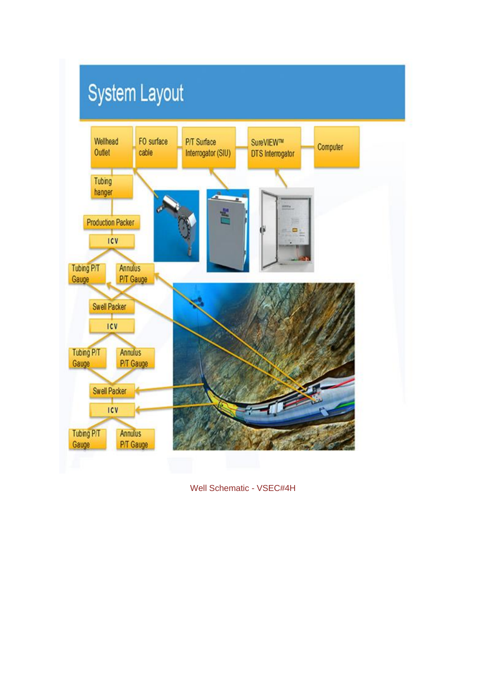

Well Schematic - VSEC#4H